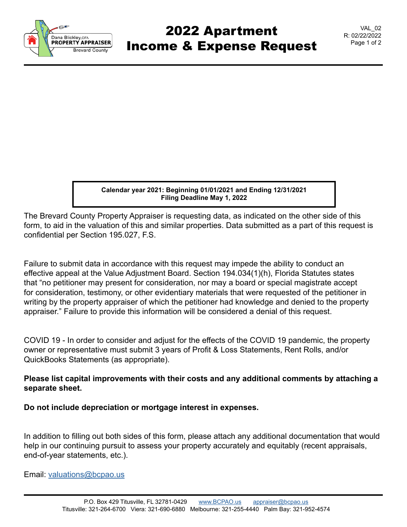

## 2022 Apartment Income & Expense Request

VAL\_02 R: 02/22/2022 Page 1 of 2

**Calendar year 2021: Beginning 01/01/2021 and Ending 12/31/2021 Filing Deadline May 1, 2022**

The Brevard County Property Appraiser is requesting data, as indicated on the other side of this form, to aid in the valuation of this and similar properties. Data submitted as a part of this request is confidential per Section 195.027, F.S.

Failure to submit data in accordance with this request may impede the ability to conduct an effective appeal at the Value Adjustment Board. Section 194.034(1)(h), Florida Statutes states that "no petitioner may present for consideration, nor may a board or special magistrate accept for consideration, testimony, or other evidentiary materials that were requested of the petitioner in writing by the property appraiser of which the petitioner had knowledge and denied to the property appraiser." Failure to provide this information will be considered a denial of this request.

COVID 19 - In order to consider and adjust for the effects of the COVID 19 pandemic, the property owner or representative must submit 3 years of Profit & Loss Statements, Rent Rolls, and/or QuickBooks Statements (as appropriate).

## **Please list capital improvements with their costs and any additional comments by attaching a separate sheet.**

**Do not include depreciation or mortgage interest in expenses.**

In addition to filling out both sides of this form, please attach any additional documentation that would help in our continuing pursuit to assess your property accurately and equitably (recent appraisals, end-of-year statements, etc.).

Email: [valuations@bcpao.us](mailto: valuations@bcpao.us)